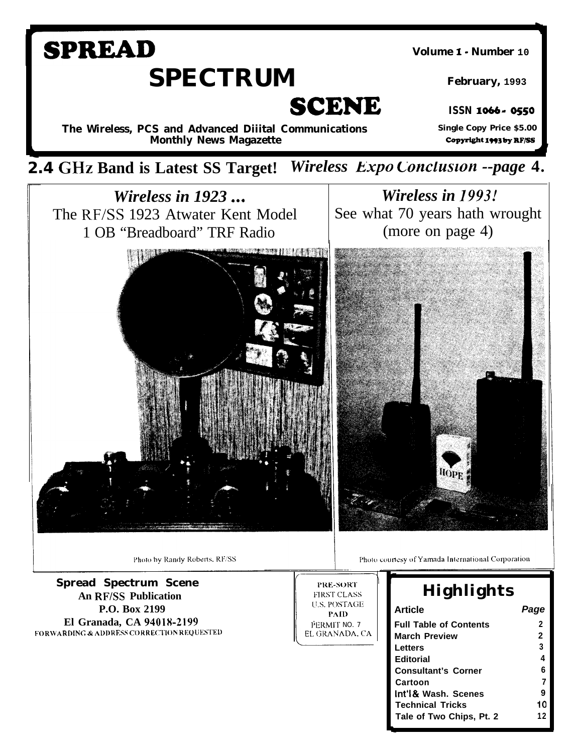# **SPREAD** Volume 1 - Number 10 **SPECTRUM** February, 1993 **SCENE ISSN 1066 - 0550 Single Copy Price \$5.00** The Wireless, PCS and Advanced Diiital Communications Copyright 1993 by RF/SS **Monthly News Magazette** 2.4 GHz Band is Latest SS Target! Wireless Expo Conclusion --page 4. Wireless in 1993! Wireless in  $1923...$ The RF/SS 1923 Atwater Kent Model See what 70 years hath wrought 1 OB "Breadboard" TRF Radio (more on page 4) Юpр

PRE-SORT

**FIRST CLASS U.S. POSTAGE** 

**PAID** 

EL GRANADA, CA

PERMIT NO. 7

Photo by Randy Roberts, RF/SS

**Spread Spectrum Scene An RF/SS Publication** P.O. Box 2199 El Granada, CA 94018-2199 **FORWARDING & ADDRESS CORRECTION REQUESTED**  Photo courtesy of Yamada International Corporation

# **Highlights**

| <b>Article</b>                |              |
|-------------------------------|--------------|
| <b>Full Table of Contents</b> | 2            |
| <b>March Preview</b>          | $\mathbf{2}$ |
| Letters                       | 3            |
| <b>Editorial</b>              | 4            |
| <b>Consultant's Corner</b>    | 6            |
| Cartoon                       | 7            |
| Int'l& Wash. Scenes           | 9            |
| <b>Technical Tricks</b>       | 10           |
| Tale of Two Chips, Pt. 2      | 12           |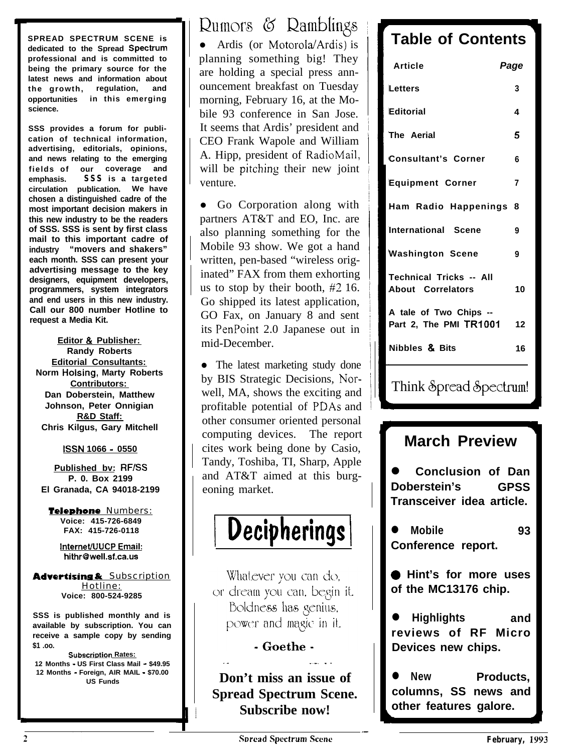**SPREAD SPECTRUM SCENE is** dedicated to the Spread Spectrum **professional and is committed to being the primary source for the latest news and information about the growth, regulation, and opportunities in this emerging science.**

**SSS provides a forum for publication of technical information, advertising, editorials, opinions, and news relating to the emerging fields of our coverage and emphasis. SSS is a targeted circulation publication. We have chosen a distinguished cadre of the most important decision makers in this new industry to be the readers of SSS. SSS is sent by first class mail to this important cadre of industry "movers and shakers" each month. SSS can present your advertising message to the key designers, equipment developers, programmers, system integrators and end users in this new industry. Call our 800 number Hotline to request a Media Kit.**

**Editor & Publisher: Randy Roberts Editorial Consultants: Norm Holsing, Marty Roberts Contributors: Dan Doberstein, Matthew Johnson, Peter Onnigian R&D Staff: Chris Kilgus, Gary Mitchell**

**ISSN 1066 - 0550**

**Published bv: RF/SS P. 0. Box 2199 El Granada, CA 94018-2199**

Telephone Numbers: **Voice: 415-726-6849 FAX: 415-726-0118**

> **InterneffUUCP Email: hithr@well.sf.ca.us**

**Advertising & Subscription** Hotline: **Voice: 800-524-9285**

**SSS is published monthly and is available by subscription. You can receive a sample copy by sending \$1 .oo.**

**Subscription Rates: 12 Months - US First Class Mail - \$49.95 12 Months - Foreign, AIR MAIL** - **\$70.00 US Funds**

Rumors & Ramblings

• Ardis (or Motorola/Ardis) is planning something big! They are holding a special press announcement breakfast on Tuesday morning, February 16, at the Mobile 93 conference in San Jose. It seems that Ardis' president and CEO Frank Wapole and William A. Hipp, president of RadioMail, will be pitching their new joint venture.

• Go Corporation along with partners AT&T and EO, Inc. are also planning something for the Mobile 93 show. We got a hand written, pen-based "wireless originated" FAX from them exhorting us to stop by their booth, #2 16. Go shipped its latest application, GO Fax, on January 8 and sent its PenPoint 2.0 Japanese out in mid-December.

• The latest marketing study done by BIS Strategic Decisions, Norwell, MA, shows the exciting and profitable potential of PDAs and other consumer oriented personal computing devices. The report cites work being done by Casio, Tandy, Toshiba, TI, Sharp, Apple and AT&T aimed at this burgeoning market.



Whatever you can do, or dream you can, begin it. Boldness has genius. power and magic in it.

- Goethe -.\_ .\_\_.

**Don't miss an issue of Spread Spectrum Scene. Subscribe now!**

# **Table of Contents**

I

| <b>Article</b>                                      | Page |
|-----------------------------------------------------|------|
| Letters                                             | 3    |
| Editorial                                           | 4    |
| The Aerial                                          | 5    |
| <b>Consultant's Corner</b>                          | 6    |
| <b>Equipment Corner</b>                             | 7    |
| Ham Radio Happenings                                | 8    |
| <b>International Scene</b>                          | 9    |
| <b>Washington Scene</b>                             | 9    |
| Technical Tricks -- All<br><b>About Correlators</b> | 10   |
| A tale of Two Chips --<br>Part 2, The PMI TR1001    | 12   |
| Nibbles & Bits                                      | 16   |
|                                                     |      |

## Think & pread & pectrum!

h

**t**

.\_

## **March Preview**

I

l **Conclusion of Dan Doberstein's GPSS Transceiver idea article.**

l **Mobile 93 Conference report.**

**0 Hint's for more uses of the MC13176 chip.**

l **Highlights and reviews of RF Micro Devices new chips.**

**e** New Products, **columns, SS news and other features galore.**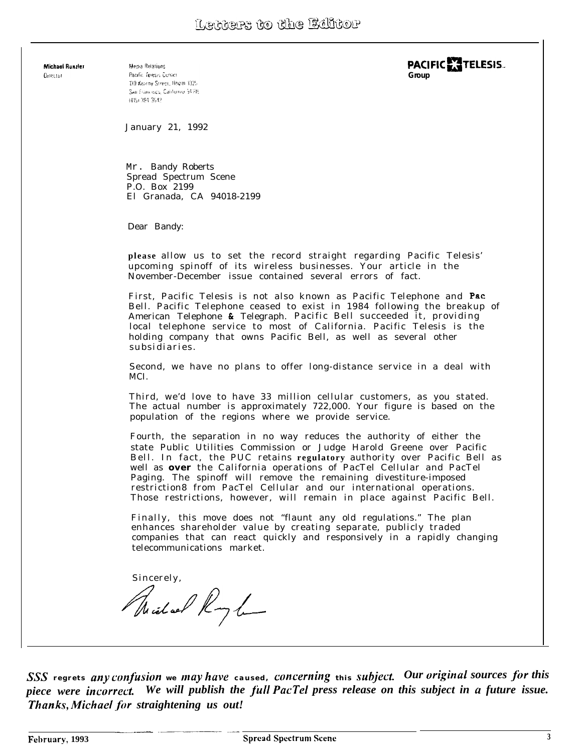Michael Bunzler **Orrestor** 

Media Relations Pacific felesis Conten 130 Kearny Street, Boem 3325 San Francisco, California 94106 9415+394-3542

**PACIFIC ~TELESIS.. Group**

January 21, 1992

Mr. Bandy Roberts Spread Spectrum Scene P.O. Box 2199 El Granada, CA 94018-2199

Dear Bandy:

**please** allow us to set the record straight regarding Pacific Telesis' upcoming spinoff of its wireless businesses. Your article in the November-December issue contained several errors of fact.

First, Pacific Telesis is not also known as Pacific Telephone and Pat Bell. Pacific Telephone ceased to exist in 1984 following the breakup of American Telephone & Telegraph. Pacific Bell succeeded it, providing local telephone service to most of California. Pacific Telesis is the holding company that owns Pacific Bell, as well as several other subsidiaries.

Second, we have no plans to offer long-distance service in a deal with MCI.

Third, we'd love to have 33 million cellular customers, as you stated. The actual number is approximately 722,000. Your figure is based on the population of the regions where we provide service.

Fourth, the separation in no way reduces the authority of either the state Public Utilities Commission or Judge Harold Greene over Pacific Bell. In fact, the PUC retains **regulatory** authority over Pacific Bell as well as **over** the California operations of PacTel Cellular and PacTel Paging. The spinoff will remove the remaining divestiture-imposed restriction8 from PacTel Cellular and our international operations. Those restrictions, however, will remain in place against Pacific Bell.

Finally, this move does not "flaunt any old regulations." The plan enhances shareholder value by creating separate, publicly traded companies that can react quickly and responsively in a rapidly changing telecommunications market.

Sincerely, Richard Royh

*SSS* regrets any confusion we may have caused, concerning this subject. Our original sources for this *piece were incorrect. We will publish the full PacTel press release on this subject in a future issue. Thanks, Michael for straightening us out!*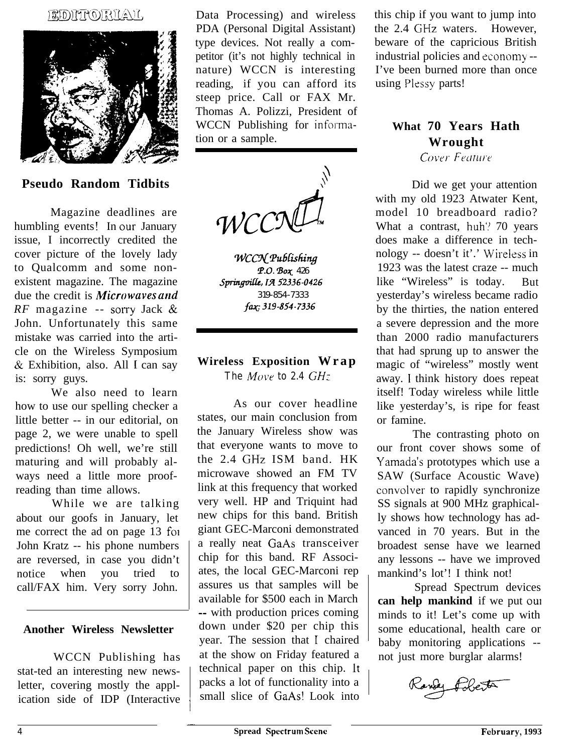#### EDATO RIAU,



#### **Pseudo Random Tidbits**

Magazine deadlines are humbling events! In our January issue, I incorrectly credited the cover picture of the lovely lady to Qualcomm and some nonexistent magazine. The magazine due the credit is *Microwaves und RF* magazine -- sorry Jack  $\&$ John. Unfortunately this same mistake was carried into the article on the Wireless Symposium & Exhibition, also. All I can say is: sorry guys.

We also need to learn how to use our spelling checker a little better -- in our editorial, on page 2, we were unable to spell predictions! Oh well, we're still maturing and will probably always need a little more proofreading than time allows.

While we are talking about our goofs in January, let me correct the ad on page 13 foi John Kratz -- his phone numbers are reversed, in case you didn't notice when you tried to call/FAX him. Very sorry John.

#### **Another Wireless Newsletter**

WCCN Publishing has stat-ted an interesting new newsletter, covering mostly the application side of IDP (Interactive

Data Processing) and wireless PDA (Personal Digital Assistant) type devices. Not really a competitor (it's not highly technical in nature) WCCN is interesting reading, if you can afford its steep price. Call or FAX Mr. Thomas A. Polizzi, President of WCCN Publishing for information or a sample.

WCC<sup>2</sup>

WCCN Publishing T-0. 230~ *426 Sprhgdi, IA 52336-0426 319-854-7333 fq: 319-854-7336*

## **Wireless Exposition Wrap** *The Move to 2.4*  $GHz$

As our cover headline states, our main conclusion from the January Wireless show was that everyone wants to move to the 2.4 GHz ISM band. HK microwave showed an FM TV link at this frequency that worked very well. HP and Triquint had new chips for this band. British giant GEC-Marconi demonstrated a really neat GaAs transceiver chip for this band. RF Associates, the local GEC-Marconi rep assures us that samples will be available for \$500 each in March -- with production prices coming down under \$20 per chip this year. The session that I chaired at the show on Friday featured a technical paper on this chip. It packs a lot of functionality into a small slice of GaAs! Look into

this chip if you want to jump into the 2.4 GHz waters. However, beware of the capricious British industrial policies and economy -- I've been burned more than once using Plessy parts!

## **What 70 Years Hath Wrought**

**Cover Feature** 

Did we get your attention with my old 1923 Atwater Kent, model 10 breadboard radio? What a contrast, huh? 70 years does make a difference in technology -- doesn't it'.' Wireless in 1923 was the latest craze -- much like "Wireless" is today. But yesterday's wireless became radio by the thirties, the nation entered a severe depression and the more than 2000 radio manufacturers that had sprung up to answer the magic of "wireless" mostly went away. I think history does repeat itself! Today wireless while little like yesterday's, is ripe for feast or famine.

The contrasting photo on our front cover shows some of Yamada's prototypes which use a SAW (Surface Acoustic Wave) convolver to rapidly synchronize SS signals at 900 MHz graphically shows how technology has advanced in 70 years. But in the broadest sense have we learned any lessons -- have we improved mankind's lot'! I think not!

Spread Spectrum devices **can help mankind** if we put our minds to it! Let's come up with some educational, health care or baby monitoring applications - not just more burglar alarms!

 $\overline{\phantom{a}}$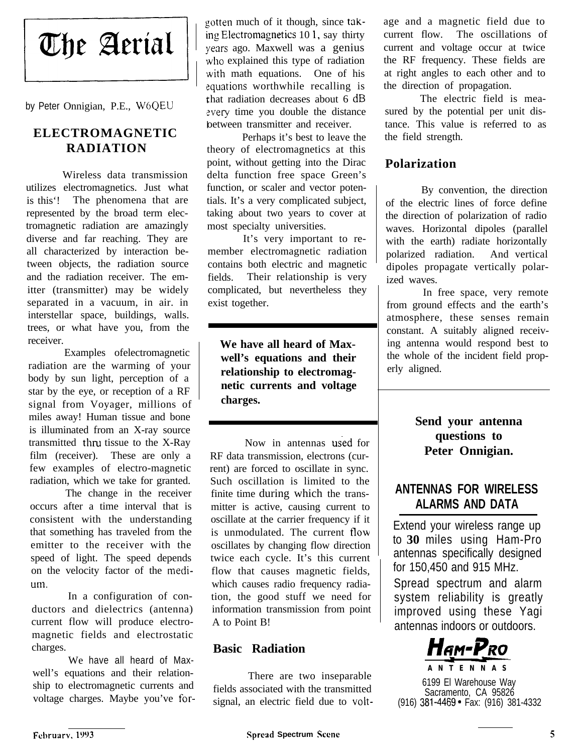# The Aerial

by Peter Onnigian, P.E., WGQEU

## **ELECTROMAGNETIC RADIATION**

Wireless data transmission utilizes electromagnetics. Just what is this'! The phenomena that are represented by the broad term electromagnetic radiation are amazingly diverse and far reaching. They are all characterized by interaction between objects, the radiation source and the radiation receiver. The emitter (transmitter) may be widely separated in a vacuum, in air. in interstellar space, buildings, walls. trees, or what have you, from the receiver.

Examples ofelectromagnetic radiation are the warming of your body by sun light, perception of a star by the eye, or reception of a RF signal from Voyager, millions of miles away! Human tissue and bone is illuminated from an X-ray source transmitted thru tissue to the X-Ray film (receiver). These are only a few examples of electro-magnetic radiation, which we take for granted.

The change in the receiver occurs after a time interval that is consistent with the understanding that something has traveled from the emitter to the receiver with the speed of light. The speed depends on the velocity factor of the medi**lm.**

In a configuration of conductors and dielectrics (antenna) current flow will produce electromagnetic fields and electrostatic charges.

We have all heard of Maxwell's equations and their relationship to electromagnetic currents and voltage charges. Maybe you've forgotten much of it though, since tak-**11g** Electromagnetics 10 1, say thirty years ago. Maxwell was a genius who explained this type of radiation with math equations. One of his equations worthwhile recalling is :hat radiation decreases about 6 dB every time you double the distance between transmitter and receiver.

Perhaps it's best to leave the theory of electromagnetics at this point, without getting into the Dirac delta function free space Green's function, or scaler and vector potentials. It's a very complicated subject, taking about two years to cover at most specialty universities.

It's very important to remember electromagnetic radiation contains both electric and magnetic fields. Their relationship is very complicated, but nevertheless they exist together.

**We have all heard of Maxwell's equations and their relationship to electromagnetic currents and voltage charges.**

Now in antennas used for RF data transmission, electrons (current) are forced to oscillate in sync. Such oscillation is limited to the finite time during which the transmitter is active, causing current to oscillate at the carrier frequency if it is unmodulated. The current flow oscillates by changing flow direction twice each cycle. It's this current flow that causes magnetic fields, which causes radio frequency radiation, the good stuff we need for information transmission from point A to Point B!

## **Basic Radiation**

There are two inseparable fields associated with the transmitted signal, an electric field due to voltage and a magnetic field due to current flow. The oscillations of current and voltage occur at twice the RF frequency. These fields are at right angles to each other and to the direction of propagation.

The electric field is measured by the potential per unit distance. This value is referred to as the field strength.

## **Polarization**

By convention, the direction of the electric lines of force define the direction of polarization of radio waves. Horizontal dipoles (parallel with the earth) radiate horizontally polarized radiation. And vertical dipoles propagate vertically polarized waves.

In free space, very remote from ground effects and the earth's atmosphere, these senses remain constant. A suitably aligned receiving antenna would respond best to the whole of the incident field properly aligned.

## **Send your antenna questions to Peter Onnigian.**

## **ANTENNAS FOR WIRELESS ALARMS AND DATA**

Extend your wireless range up to **30** miles using Ham-Pro antennas specifically designed for 150,450 and 915 MHz.

Spread spectrum and alarm system reliability is greatly improved using these Yagi antennas indoors or outdoors.



6199 El Warehouse Way Sacramento, CA 95826 (916) 381-4469. Fax: (916) 381-4332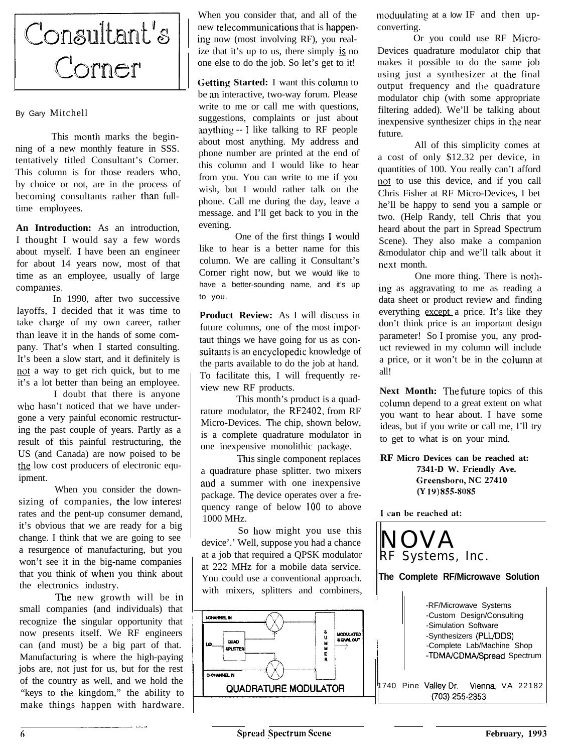

#### By Gary Mitchell

This month marks the beginning of a new monthly feature in SSS. tentatively titled Consultant's Corner. This column is for those readers who. by choice or not, are in the process of becoming consultants rather than fulltime employees.

**An Introduction:** As an introduction, I thought I would say a few words about myself. I have been au engineer for about 14 years now, most of that time as an employee, usually of large companies.

In 1990, after two successive layoffs, I decided that it was time to take charge of my own career, rather than leave it in the hands of some company. That's when I started consulting. It's been a slow start, and it definitely is not a way to get rich quick, but to me it's a lot better than being an employee.

I doubt that there is anyone who hasn't noticed that we have undergone a very painful economic restructuring the past couple of years. Partly as a result of this painful restructuring, the US (and Canada) are now poised to be the low cost producers of electronic equipment.

When you consider the downsizing of companies, the low interesl rates and the pent-up consumer demand, it's obvious that we are ready for a big change. I think that we are going to see a resurgence of manufacturing, but you won't see it in the big-name companies that you think of when you think about the electronics industry.

The new growth will be in small companies (and individuals) that recognize the singular opportunity that now presents itself. We RF engineers can (and must) be a big part of that. Manufacturing is where the high-paying jobs are, not just for us, but for the rest of the country as well, and we hold the "keys to the kingdom," the ability to make things happen with hardware.

\_\_\_~\_ ..-..

When you consider that, and all of the new telecommunications that is happening now (most involving RF), you realize that it's up to us, there simply  $\frac{1}{2}$  no one else to do the job. So let's get to it!

**Getting Started:** I want this column to be an interactive, two-way forum. Please write to me or call me with questions, suggestions, complaints or just about anything -- I like talking to RF people about most anything. My address and phone number are printed at the end of this column and I would like to hear from you. You can write to me if you wish, but I would rather talk on the phone. Call me during the day, leave a message. and I'll get back to you in the evening.

One of the first things I would like to hear is a better name for this column. We are calling it Consultant's Corner right now, but we would like to have a better-sounding name, and it's up to you.

**Product Review:** As I will discuss in future columns, one of the most importaut things we have going for us as consultants is an encyclopedic knowledge of the parts available to do the job at hand. To facilitate this, I will frequently review new RF products.

This month's product is a quadrature modulator, the RF2402, from RF Micro-Devices. The chip, shown below, is a complete quadrature modulator in one inexpensive monolithic package.

This single component replaces a quadrature phase splitter. two mixers and a summer with one inexpensive package. The device operates over a frequency range of below 100 to above 1000 MHz.

So how might you use this device'.' Well, suppose you had a chance at a job that required a QPSK modulator at 222 MHz for a mobile data service. You could use a conventional approach. with mixers, splitters and combiners,



moduulating at a low IF and then upconverting.

Or you could use RF Micro-Devices quadrature modulator chip that makes it possible to do the same job using just a synthesizer at the final output frequency and the quadrature modulator chip (with some appropriate filtering added). We'll be talking about inexpensive synthesizer chips in the near future.

All of this simplicity comes at a cost of only \$12.32 per device, in quantities of 100. You really can't afford not to use this device, and if you call Chris Fisher at RF Micro-Devices, I bet he'll be happy to send you a sample or two. (Help Randy, tell Chris that you heard about the part in Spread Spectrum Scene). They also make a companion &modulator chip and we'll talk about it uext month.

One more thing. There is notliing as aggravating to me as reading a data sheet or product review and finding everything except a price. It's like they don't think price is an important design parameter! So I promise you, any product reviewed in my column will include a price, or it won't be in the column at all!

Next Month: The future topics of this column depend to a great extent on what you want to hear about. I have some ideas, but if you write or call me, I'll try to get to what is on your mind.

#### **RF Micro Devices can be reached at: 7341-D W. Friendly Ave. Greensboro, NC 27410 (Y 1Y) 855-X085**

I can be reached at:

NOVA RF Systems, Inc.

#### **The Complete RF/Microwave Solution**

|  | -RF/Microwave Systems<br>-Custom Design/Consulting<br>-Simulation Software<br>-Synthesizers (PLL/DDS)<br>-Complete Lab/Machine Shop<br>-TDMA/CDMA/Spread Spectrum |  |  |
|--|-------------------------------------------------------------------------------------------------------------------------------------------------------------------|--|--|
|  | 1740 Pine Valley Dr. Vienna, VA 22182<br>(703) 255-2353                                                                                                           |  |  |

 $\overline{\phantom{a}}$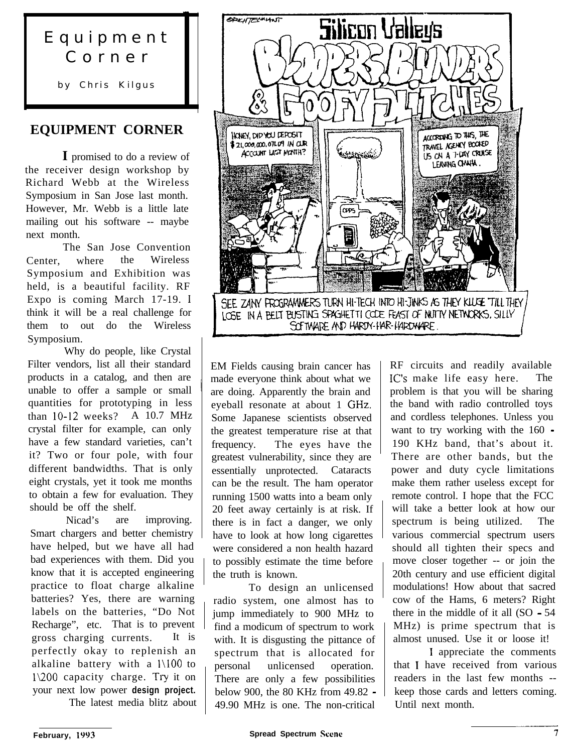## Equipment Corner

by Chris Kilgus

## **EQUIPMENT CORNER**

**I** promised to do a review of the receiver design workshop by Richard Webb at the Wireless Symposium in San Jose last month. However, Mr. Webb is a little late mailing out his software -- maybe next month.

The San Jose Convention Center, where the Wireless Symposium and Exhibition was held, is a beautiful facility. RF Expo is coming March 17-19. I think it will be a real challenge for them to out do the Wireless Symposium.

Why do people, like Crystal Filter vendors, list all their standard products in a catalog, and then are unable to offer a sample or small quantities for prototyping in less than lo-12 weeks? A 10.7 MHz crystal filter for example, can only have a few standard varieties, can't it? Two or four pole, with four different bandwidths. That is only eight crystals, yet it took me months to obtain a few for evaluation. They should be off the shelf.

Nicad's are improving. Smart chargers and better chemistry have helped, but we have all had bad experiences with them. Did you know that it is accepted engineering practice to float charge alkaline batteries? Yes, there are warning labels on the batteries, "Do Not Recharge", etc. That is to prevent gross charging currents. It is perfectly okay to replenish an alkaline battery with a l\l00 to 1\200 capacity charge. Try it on your next low power **design project.**

The latest media blitz about



EM Fields causing brain cancer has made everyone think about what we are doing. Apparently the brain and eyeball resonate at about 1 GHz. Some Japanese scientists observed the greatest temperature rise at that frequency. The eyes have the greatest vulnerability, since they are essentially unprotected. Cataracts can be the result. The ham operator running 1500 watts into a beam only 20 feet away certainly is at risk. If there is in fact a danger, we only have to look at how long cigarettes were considered a non health hazard to possibly estimate the time before the truth is known.

To design an unlicensed radio system, one almost has to jump immediately to 900 MHz to find a modicum of spectrum to work with. It is disgusting the pittance of spectrum that is allocated for personal unlicensed operation. There are only a few possibilities below 900, the 80 KHz from 49.82 - 49.90 MHz is one. The non-critical

RF circuits and readily available IC's make life easy here. The problem is that you will be sharing the band with radio controlled toys and cordless telephones. Unless you want to try working with the 160 - 190 KHz band, that's about it. There are other bands, but the power and duty cycle limitations make them rather useless except for remote control. I hope that the FCC will take a better look at how our spectrum is being utilized. The various commercial spectrum users should all tighten their specs and move closer together -- or join the 20th century and use efficient digital modulations! How about that sacred cow of the Hams, 6 meters? Right there in the middle of it all (SO - 54 MHz) is prime spectrum that is almost unused. Use it or loose it!

I appreciate the comments that I have received from various readers in the last few months - keep those cards and letters coming. Until next month.  $\overline{\phantom{a}}$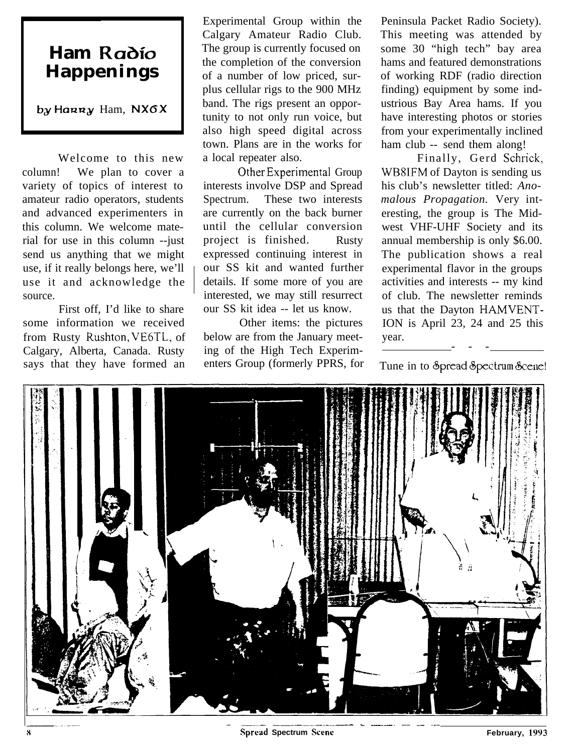## **Ham Radio Happenings**

**by** Hann, NXGX

Welcome to this new column! We plan to cover a variety of topics of interest to amateur radio operators, students and advanced experimenters in this column. We welcome material for use in this column --just send us anything that we might use, if it really belongs here, we'll use it and acknowledge the source.

First off, I'd like to share some information we received Other items: the pictures from Rusty Rushton, VE6TL, of below are from the January meet-Calgary, Alberta, Canada. Rusty ing of the High Tech Experim-<br>says that they have formed an enters Group (formerly PPRS, for says that they have formed an

Experimental Group within the Calgary Amateur Radio Club. The group is currently focused on the completion of the conversion of a number of low priced, surplus cellular rigs to the 900 MHz band. The rigs present an opportunity to not only run voice, but also high speed digital across town. Plans are in the works for a local repeater also.

Other Experimental Group interests involve DSP and Spread Spectrum. These two interests are currently on the back burner until the cellular conversion project is finished. Rusty expressed continuing interest in our SS kit and wanted further details. If some more of you are interested, we may still resurrect our SS kit idea -- let us know.

Peninsula Packet Radio Society). This meeting was attended by some 30 "high tech" bay area hams and featured demonstrations of working RDF (radio direction finding) equipment by some industrious Bay Area hams. If you have interesting photos or stories from your experimentally inclined ham club -- send them along!

Finally, Gerd Schrick, WB81FM of Dayton is sending us his club's newsletter titled: *Anomalous Propagation.* Very interesting, the group is The Midwest VHF-UHF Society and its annual membership is only \$6.00. The publication shows a real experimental flavor in the groups activities and interests -- my kind of club. The newsletter reminds us that the Dayton HAMVENT-ION is April 23, 24 and 25 this year. ---

Tune in to &pread &pectrum &cene!

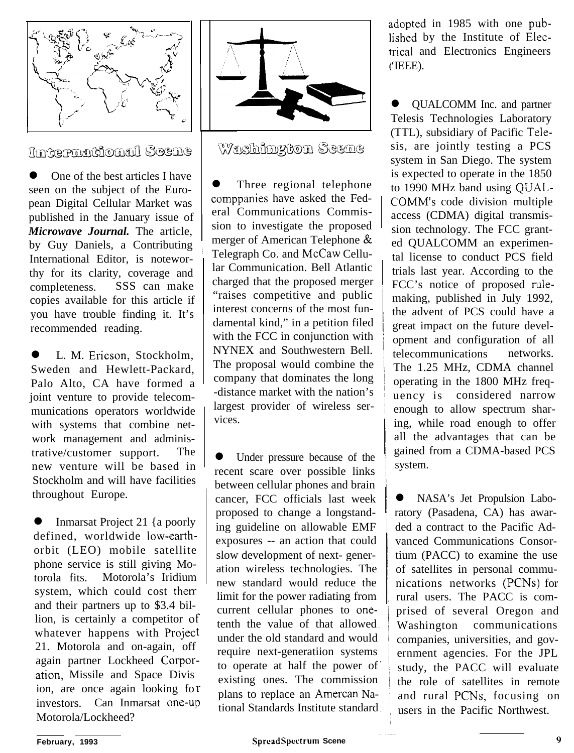

## *Imtermational Seene*

One of the best articles I have seen on the subject of the European Digital Cellular Market was published in the January issue of *Microwave Journal.* The article, by Guy Daniels, a Contributing International Editor, is noteworthy for its clarity, coverage and completeness. SSS can make copies available for this article if you have trouble finding it. It's recommended reading.

L. M. Ericson, Stockholm, Sweden and Hewlett-Packard, Palo Alto, CA have formed a joint venture to provide telecommunications operators worldwide with systems that combine network management and administrative/customer support. The new venture will be based in Stockholm and will have facilities throughout Europe.

Inmarsat Project 21 {a poorly defined, worldwide low-earthorbit (LEO) mobile satellite phone service is still giving Motorola fits. Motorola's Iridium system, which could cost then and their partners up to \$3.4 billion, is certainly a competitor of whatever happens with Project 21. Motorola and on-again, off again partner Lockheed Corporation, Missile and Space Divis ion, are once again looking fo r investors. Can Inmarsat one-up Motorola/Lockheed?



Washington Scene

Three regional telephone comppanies have asked the Federal Communications Commission to investigate the proposed merger of American Telephone & Telegraph Co. and McCaw Cellular Communication. Bell Atlantic charged that the proposed merger "raises competitive and public interest concerns of the most fundamental kind," in a petition filed with the FCC in conjunction with NYNEX and Southwestern Bell. The proposal would combine the company that dominates the long -distance market with the nation's largest provider of wireless services.

l Under pressure because of the recent scare over possible links between cellular phones and brain cancer, FCC officials last week proposed to change a longstanding guideline on allowable EMF exposures -- an action that could slow development of next- generation wireless technologies. The new standard would reduce the limit for the power radiating from current cellular phones to onetenth the value of that allowed under the old standard and would require next-generatiion systems to operate at half the power of existing ones. The commission plans to replace an Amercan National Standards Institute standard

adopted in 1985 with one pubished by the Institute of Elecrical and Electronics Engineers 'IEEE).

l QUALCOMM Inc. and partner Telesis Technologies Laboratory (TTL), subsidiary of Pacific Telesis, are jointly testing a PCS system in San Diego. The system is expected to operate in the 1850 to 1990 MHz band using QUAL-COMM's code division multiple access (CDMA) digital transmission technology. The FCC granted QUALCOMM an experimental license to conduct PCS field trials last year. According to the FCC's notice of proposed rulemaking, published in July 1992, the advent of PCS could have a great impact on the future development and configuration of all telecommunications networks. The 1.25 MHz, CDMA channel operating in the 1800 MHz frequency is considered narrow enough to allow spectrum sharing, while road enough to offer all the advantages that can be gained from a CDMA-based PCS system.

NASA's Jet Propulsion Laboratory (Pasadena, CA) has awarded a contract to the Pacific Advanced Communications Consortium (PACC) to examine the use of satellites in personal communications networks (PCNs) for rural users. The PACC is comprised of several Oregon and Washington communications companies, universities, and government agencies. For the JPL study, the PACC will evaluate the role of satellites in remote and rural PCNs, focusing on users in the Pacific Northwest.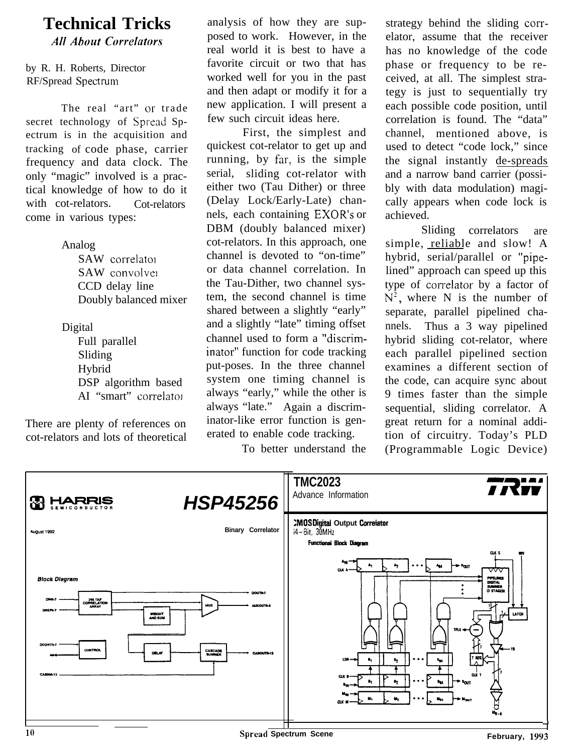## **Technical Tricks**

**All About Correlators** 

#### by R. H. Roberts, Director RF/Spread Spectrum

The real "art" or trade secret technology of Spread Spectrum is in the acquisition and tracking of code phase, carrier frequency and data clock. The only "magic" involved is a practical knowledge of how to do it with cot-relators. Cot-relators come in various types:

> Analog SAW correlatot SAW convolver CCD delay line Doubly balanced mixer

Digital Full parallel Sliding Hybrid DSP algorithm based AI "smart" correlatoi

There are plenty of references on cot-relators and lots of theoretical analysis of how they are supposed to work. However, in the real world it is best to have a favorite circuit or two that has worked well for you in the past and then adapt or modify it for a new application. I will present a few such circuit ideas here.

First, the simplest and quickest cot-relator to get up and running, by far, is the simple serial, sliding cot-relator with either two (Tau Dither) or three (Delay Lock/Early-Late) channels, each containing EXOR's or DBM (doubly balanced mixer) cot-relators. In this approach, one channel is devoted to "on-time" or data channel correlation. In the Tau-Dither, two channel system, the second channel is time shared between a slightly "early" and a slightly "late" timing offset channel used to form a "discriminator" function for code tracking put-poses. In the three channel system one timing channel is always "early," while the other is always "late." Again a discriminator-like error function is generated to enable code tracking.

To better understand the

strategy behind the sliding correlator, assume that the receiver has no knowledge of the code phase or frequency to be received, at all. The simplest strategy is just to sequentially try each possible code position, until correlation is found. The "data" channel, mentioned above, is used to detect "code lock," since the signal instantly de-spreads and a narrow band carrier (possibly with data modulation) magically appears when code lock is achieved.

Sliding correlators are simple, reliable and slow! A hybrid, serial/parallel or "pipelined" approach can speed up this type of correlator by a factor of  $N^2$ , where N is the number of separate, parallel pipelined channels. Thus a 3 way pipelined hybrid sliding cot-relator, where each parallel pipelined section examines a different section of the code, can acquire sync about 9 times faster than the simple sequential, sliding correlator. A great return for a nominal addition of circuitry. Today's PLD (Programmable Logic Device)

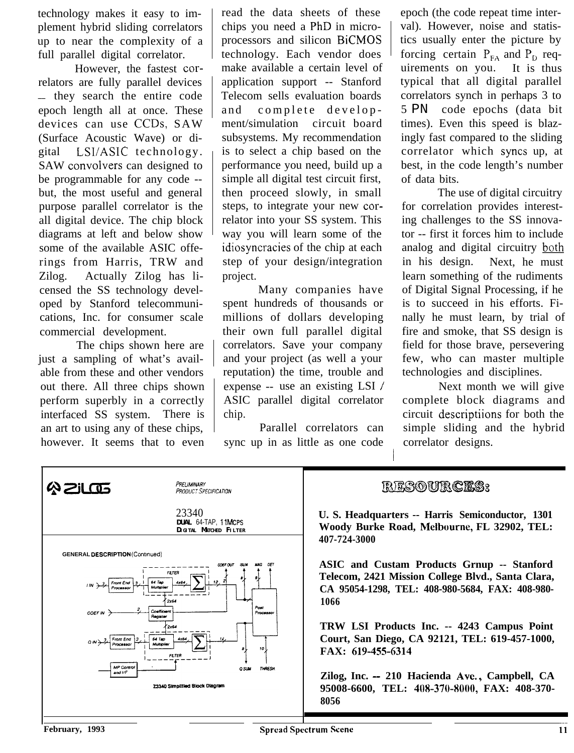technology makes it easy to implement hybrid sliding correlators up to near the complexity of a full parallel digital correlator.

However, the fastest correlators are fully parallel devices \_\_ they search the entire code epoch length all at once. These devices can use CCDs, SAW (Surface Acoustic Wave) or digital LSUASIC technology. SAW convolvers can designed to be programmable for any code - but, the most useful and general purpose parallel correlator is the all digital device. The chip block diagrams at left and below show some of the available ASIC offerings from Harris, TRW and Zilog. Actually Zilog has licensed the SS technology developed by Stanford telecommunications, Inc. for consumer scale commercial development.

The chips shown here are just a sampling of what's available from these and other vendors out there. All three chips shown perform superbly in a correctly interfaced SS system. There is an art to using any of these chips, however. It seems that to even

read the data sheets of these chips you need a PhD in microprocessors and silicon BiCMOS technology. Each vendor does make available a certain level of application support -- Stanford Telecom sells evaluation boards and complete development/simulation circuit board subsystems. My recommendation is to select a chip based on the performance you need, build up a simple all digital test circuit first, then proceed slowly, in small steps, to integrate your new correlator into your SS system. This way you will learn some of the idiosyncracies of the chip at each step of your design/integration project.

Many companies have spent hundreds of thousands or millions of dollars developing their own full parallel digital correlators. Save your company and your project (as well a your reputation) the time, trouble and expense -- use an existing LSI / ASIC parallel digital correlator chip.

Parallel correlators can sync up in as little as one code

epoch (the code repeat time interval). However, noise and statistics usually enter the picture by forcing certain  $P_{FA}$  and  $P_D$  requirements on you. It is thus typical that all digital parallel correlators synch in perhaps 3 to 5 PN code epochs (data bit times). Even this speed is blazingly fast compared to the sliding correlator which syncs up, at best, in the code length's number of data bits.

The use of digital circuitry for correlation provides interesting challenges to the SS innovator -- first it forces him to include analog and digital circuitry both in his design. Next, he must learn something of the rudiments of Digital Signal Processing, if he is to succeed in his efforts. Finally he must learn, by trial of fire and smoke, that SS design is field for those brave, persevering few, who can master multiple technologies and disciplines.

Next month we will give complete block diagrams and circuit descriptiions for both the simple sliding and the hybrid correlator designs.

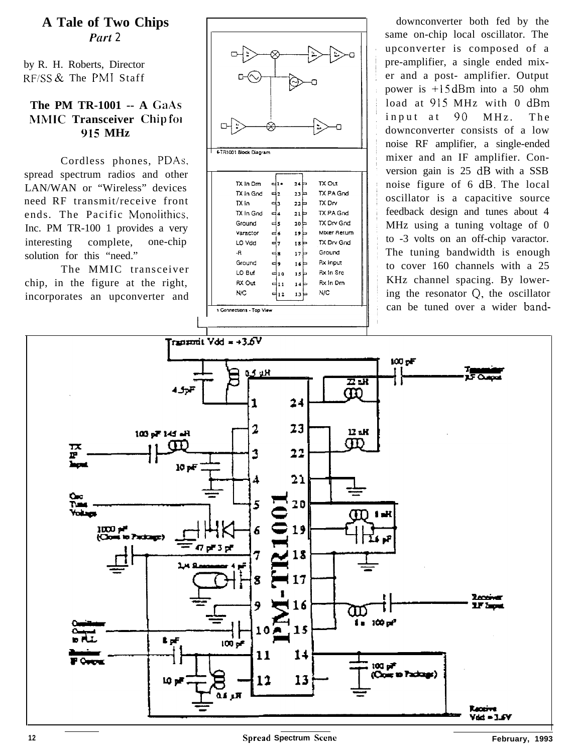## **A Tale of Two Chips** *Put-t 2*

by R. H. Roberts, Director RFiSS & The PM1 Staff

### **The PM TR-1001 -- A GaAs MMlC Transceiver Chip fol 915 MHz**

Cordless phones, PDAs, spread spectrum radios and other LAN/WAN or "Wireless" devices need RF transmit/receive front ends. The Pacific Monolithics, Inc. PM TR-100 1 provides a very interesting complete, one-chip solution for this "need."

The MMIC transceiver chip, in the figure at the right, incorporates an upconverter and



|                          | TX in Gnd | 력2      | 23P  | TX PA Grid      |  |
|--------------------------|-----------|---------|------|-----------------|--|
|                          | TX in     | з       | 22   | TX Drv          |  |
|                          | TX In Gnd | ∡ا⊐     | 21   | TX PA Gnd       |  |
|                          | Ground    | دا⊃     | 20 는 | TX Drv God      |  |
|                          | Varactor  | 6ء      | 19   | Mixer Return    |  |
|                          | LO Vdd    | ᆖ       | 18   | TX Drv Gnd      |  |
| -R                       |           | 8<br>⋴  | 17   | Ground          |  |
|                          | Ground    | دا⇔     | 16   | <b>Rx input</b> |  |
|                          | LO Buf    | ⊏10     | 15   | Rx In Src       |  |
|                          | RX Out    | 11<br>е | 14⊧  | Rx In Drn       |  |
|                          | N/C       | 12      | 13 ⊧ | NIC             |  |
|                          |           |         |      |                 |  |
| 1 Connections - Top View |           |         |      |                 |  |

downconverter both fed by the same on-chip local oscillator. The upconverter is composed of a pre-amplifier, a single ended mixer and a post- amplifier. Output power is +15 dBm into a 50 ohm load at 915 MHz with 0 dBm input at 90 MHz. The downconverter consists of a low noise RF amplifier, a single-ended mixer and an IF amplifier. Conversion gain is 25 dB with a SSB noise figure of 6 dB. The local oscillator is a capacitive source feedback design and tunes about 4 MHz using a tuning voltage of 0 to -3 volts on an off-chip varactor. The tuning bandwidth is enough to cover 160 channels with a 25 KHz channel spacing. By lowering the resonator Q, the oscillator can be tuned over a wider band-

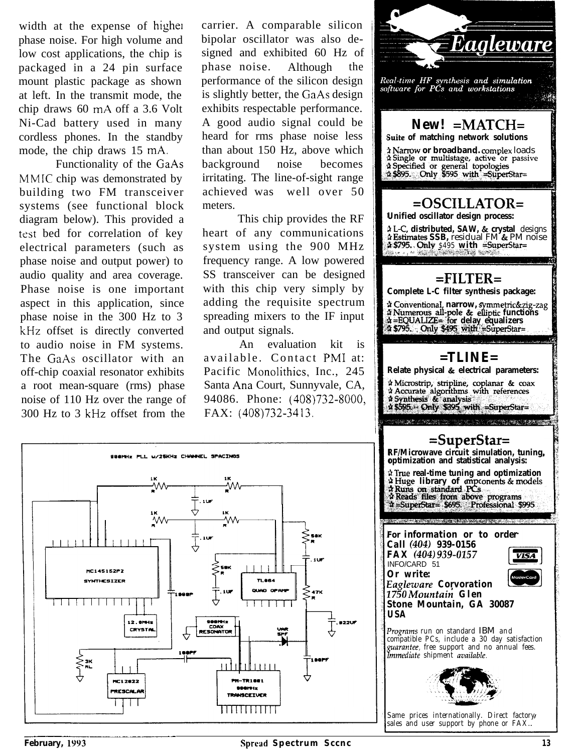width at the expense of higher phase noise. For high volume and low cost applications, the chip is packaged in a 24 pin surface mount plastic package as shown at left. In the transmit mode, the chip draws 60 mA off a 3.6 Volt Ni-Cad battery used in many cordless phones. In the standby mode, the chip draws 15 mA.

Functionality of the GaAs MMIC chip was demonstrated by building two FM transceiver systems (see functional block diagram below). This provided a test bed for correlation of key electrical parameters (such as phase noise and output power) to audio quality and area coverage. Phase noise is one important aspect in this application, since phase noise in the 300 Hz to 3 kHz offset is directly converted to audio noise in FM systems. The GaAs oscillator with an off-chip coaxial resonator exhibits a root mean-square (rms) phase noise of 110 Hz over the range of 300 Hz to 3 kHz offset from the

carrier. A comparable silicon bipolar oscillator was also designed and exhibited 60 Hz of phase noise. Although the performance of the silicon design is slightly better, the GaAs design exhibits respectable performance. A good audio signal could be heard for rms phase noise less than about 150 Hz, above which background noise becomes irritating. The line-of-sight range achieved was well over 50 meters.

 $\overline{\bullet}$ 

This chip provides the RF heart of any communications system using the 900 MHz frequency range. A low powered SS transceiver can be designed with this chip very simply by adding the requisite spectrum spreading mixers to the IF input and output signals.

An evaluation kit is available. Contact PM1 at: Pacific Monolithics, Inc., 245 Santa Ana Court, Sunnyvale, CA, 94086. Phone: (408)732-8000, FAX: (408)732-3413.



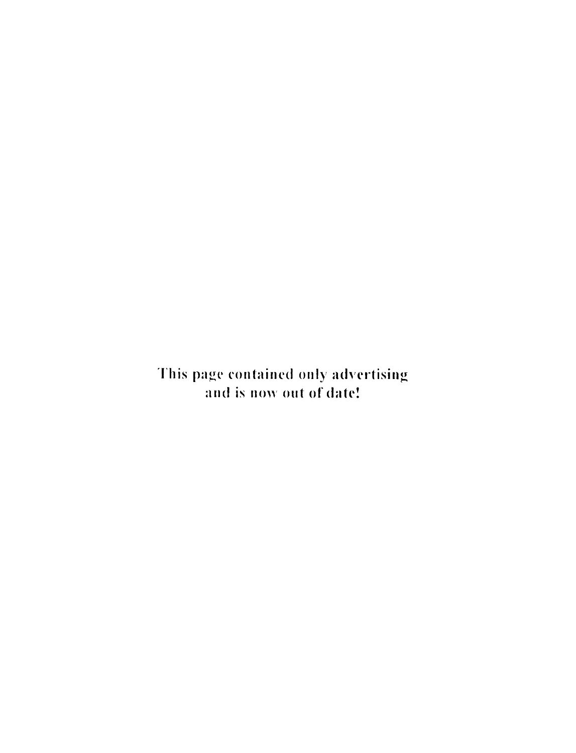This page contained only advertising and is now out of date!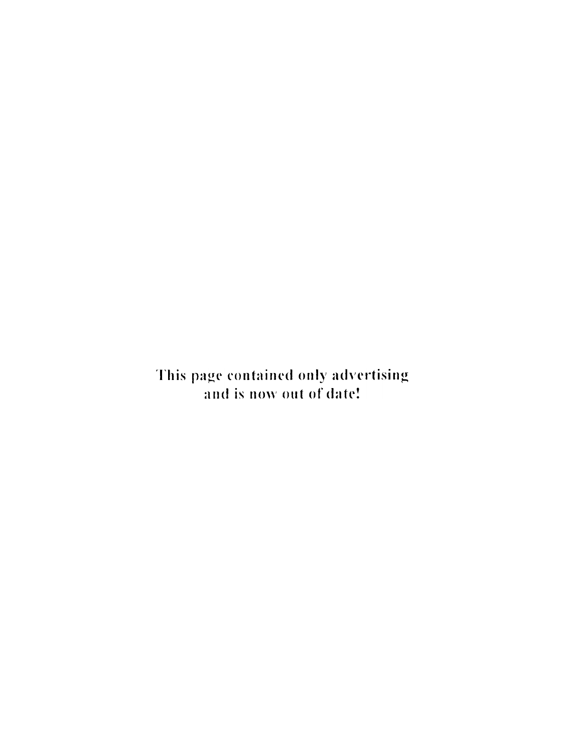This page contained only advertising and is now out of date!